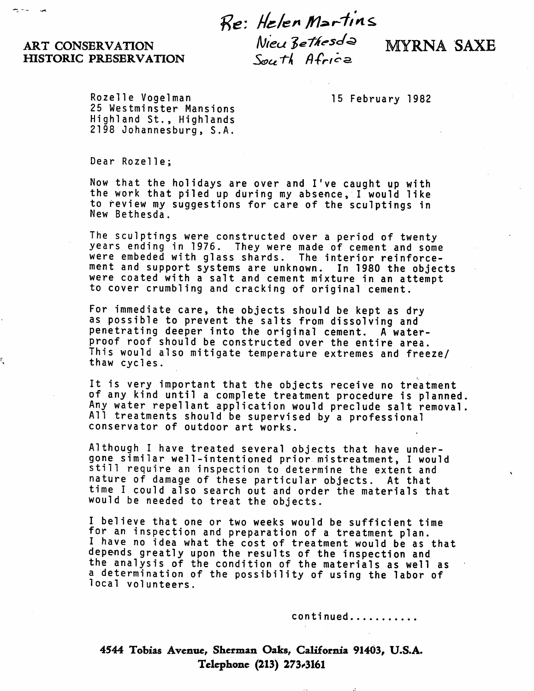## Re: Helen Martins

## ART CONSERVATION<br>HISTORIC PRESERVATION South Africe HISTORIC PRESERVATION

r,

Rozelle Vogelman 15 February 1982 25 Westminster Mansions Highland St., Highlands 2198 Johannesburg, S.A.

Dear Rozelle;

Now that the holidays are over and I've caught up with the work that piled up during my absence, I would like to review my suggestions for care of the sculptings in New Bethesda.

The sculptings were constructed over a period of twenty years ending in 1976. They were made of cement and some were embeded with glass shards. The interior reinforcement and support systems are unknown. In 1980 the objects were coated with a salt and cement mixture in an attempt to cover crumbling and cracking of original cement.

For immediate care, the objects should be kept as dry as possible to prevent the salts from dissolving and penetrating deeper into the original cement. A water proof roof should be constructed over the entire area. This would also mitigate temperature extremes and freeze/ thaw cycles.

It is very important that the objects receive no treatment of any kind until a complete treatment procedure is planned. Any water repellant application would preclude salt removal. All treatments should be supervised by a professional conservator of outdoor art works.

Although I have treated several objects that have under gone similar well-intentioned prior mistreatment, I would still require an inspection to determine the extent and nature of damage of these particular objects. At that time I could also search out and order the materials that would be needed to treat the objects.

I believe that one or two weeks would be sufficient time for an inspection and preparation of a treatment plan. I have no idea what the cost of treatment would be as that depends greatly upon the results of the inspection and the analysis of the condition of the materials as well as a determination of the possibility of using the labor of local volunteers.

continued...........

4544 Tobias Avenue, Sherman Oaks, California 91403, U.S.A. Telephone (213) 273^3161